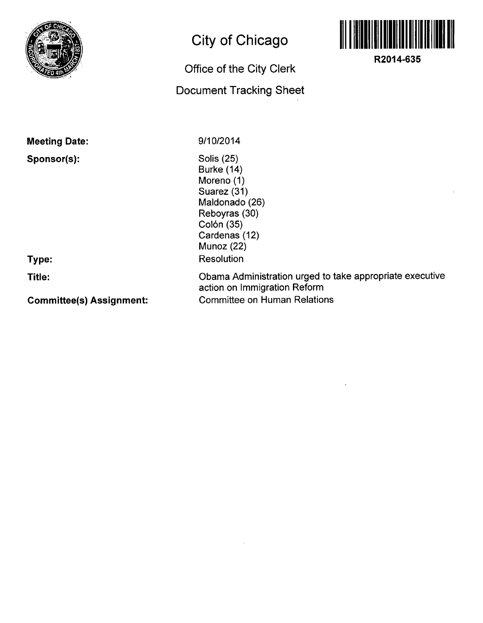

## **City of Chicago**

## **Office of the City Clerk**

## **Document Tracking Sheet**



**R2014-635** 

| <b>Meeting Date:</b>            | 9/10/2014                                                                                                                               |
|---------------------------------|-----------------------------------------------------------------------------------------------------------------------------------------|
| Sponsor(s):                     | Solis (25)<br>Burke (14)<br>Moreno (1)<br>Suarez (31)<br>Maldonado (26)<br>Reboyras (30)<br>Colón (35)<br>Cardenas (12)<br>Munoz $(22)$ |
| Type:                           | Resolution                                                                                                                              |
| Title:                          | Obama Administration urged to take appropriate executive<br>action on Immigration Reform                                                |
| <b>Committee(s) Assignment:</b> | <b>Committee on Human Relations</b>                                                                                                     |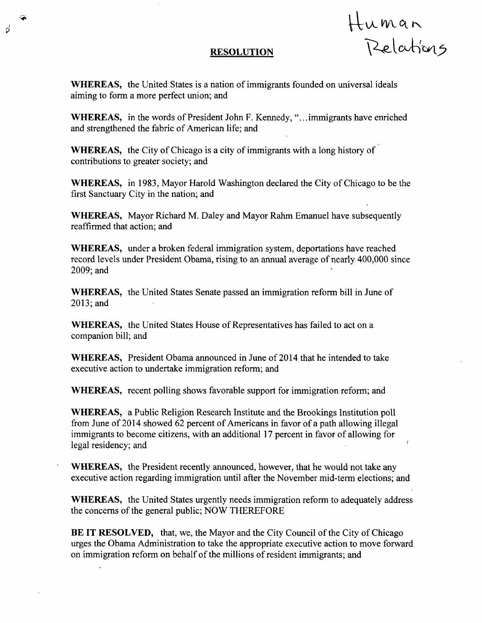## RESOLUTION Human

Ď

WHEREAS, the United States is a nation of immigrants founded on universal ideals aiming to form a more perfect union; and

WHEREAS, in the words of President John F. Kennedy, "... immigrants have enriched and strengthened the fabric of American life; and

WHEREAS, the City of Chicago is a city of immigrants with a long history of contributions to greater society; and

WHEREAS, in 1983, Mayor Harold Washington declared the City of Chicago to be the first Sanctuary City in the nation; and

WHEREAS, Mayor Richard M. Daley and Mayor Rahm Emanuel have subsequently reaffirmed that action; and

WHEREAS, under a broken federal immigration system, deportations have reached record levels under President Obama, rising to an annual average of nearly 400,000 since 2009;and

WHEREAS, the United States Senate passed an immigration reform bill in June of 2013;and

WHEREAS, the United States House of Representatives has failed to act on a companion bill; and

WHEREAS, President Obama announced in June of 2014 that he intended to take executive action to undertake immigration reform; and

WHEREAS, recent polling shows favorable support for immigration reform; and

WHEREAS, a Public Religion Research Institute and the Brookings Institution poll from June of 2014 showed 62 percent of Americans in favor of a path allowing illegal immigrants to become citizens, with an additional 17 percent in favor of allowing for legal residency; and

WHEREAS, the President recently announced, however, that he would not take any executive action regarding immigration until after the November mid-term elections; and

WHEREAS, the United States urgently needs immigration reform to adequately address the concems of the general public; NOW THEREFORE

BE IT RESOLVED, that, we, the Mayor and the City Council of the City of Chicago urges the Obama Administration to take the appropriate executive action to move forward on immigration reform on behalf of the millions of resident immigrants; and

 $\overline{a}$